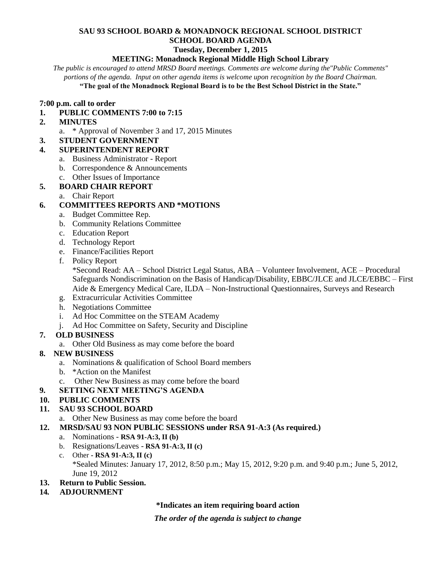#### **SAU 93 SCHOOL BOARD & MONADNOCK REGIONAL SCHOOL DISTRICT SCHOOL BOARD AGENDA Tuesday, December 1, 2015**

## **MEETING: Monadnock Regional Middle High School Library**

*The public is encouraged to attend MRSD Board meetings. Comments are welcome during the"Public Comments" portions of the agenda. Input on other agenda items is welcome upon recognition by the Board Chairman.*

**"The goal of the Monadnock Regional Board is to be the Best School District in the State."**

#### **7:00 p.m. call to order**

## **1. PUBLIC COMMENTS 7:00 to 7:15**

- **2. MINUTES** 
	- a. \* Approval of November 3 and 17, 2015 Minutes
- **3. STUDENT GOVERNMENT**

#### **4. SUPERINTENDENT REPORT**

- a. Business Administrator Report
- b. Correspondence & Announcements
- c. Other Issues of Importance

## **5. BOARD CHAIR REPORT**

a. Chair Report

## **6. COMMITTEES REPORTS AND \*MOTIONS**

- a. Budget Committee Rep.
- b. Community Relations Committee
- c. Education Report
- d. Technology Report
- e. Finance/Facilities Report
- f. Policy Report

\*Second Read: AA – School District Legal Status, ABA – Volunteer Involvement, ACE – Procedural Safeguards Nondiscrimination on the Basis of Handicap/Disability, EBBC/JLCE and JLCE/EBBC – First Aide & Emergency Medical Care, ILDA – Non-Instructional Questionnaires, Surveys and Research

- g. Extracurricular Activities Committee
- h. Negotiations Committee
- i. Ad Hoc Committee on the STEAM Academy
- j. Ad Hoc Committee on Safety, Security and Discipline

# **7. OLD BUSINESS**

a. Other Old Business as may come before the board

## **8. NEW BUSINESS**

- a. Nominations & qualification of School Board members
- b. \*Action on the Manifest
- c. Other New Business as may come before the board
- **9. SETTING NEXT MEETING'S AGENDA**

## **10. PUBLIC COMMENTS**

## **11. SAU 93 SCHOOL BOARD**

- a. Other New Business as may come before the board
- **12. MRSD/SAU 93 NON PUBLIC SESSIONS under RSA 91-A:3 (As required.)**
	- a. Nominations **RSA 91-A:3, II (b)**
	- b. Resignations/Leaves **RSA 91-A:3, II (c)**
	- c. Other **- RSA 91-A:3, II (c)** \*Sealed Minutes: January 17, 2012, 8:50 p.m.; May 15, 2012, 9:20 p.m. and 9:40 p.m.; June 5, 2012, June 19, 2012
- **13. Return to Public Session.**
- **14***.* **ADJOURNMENT**

## **\*Indicates an item requiring board action**

*The order of the agenda is subject to change*